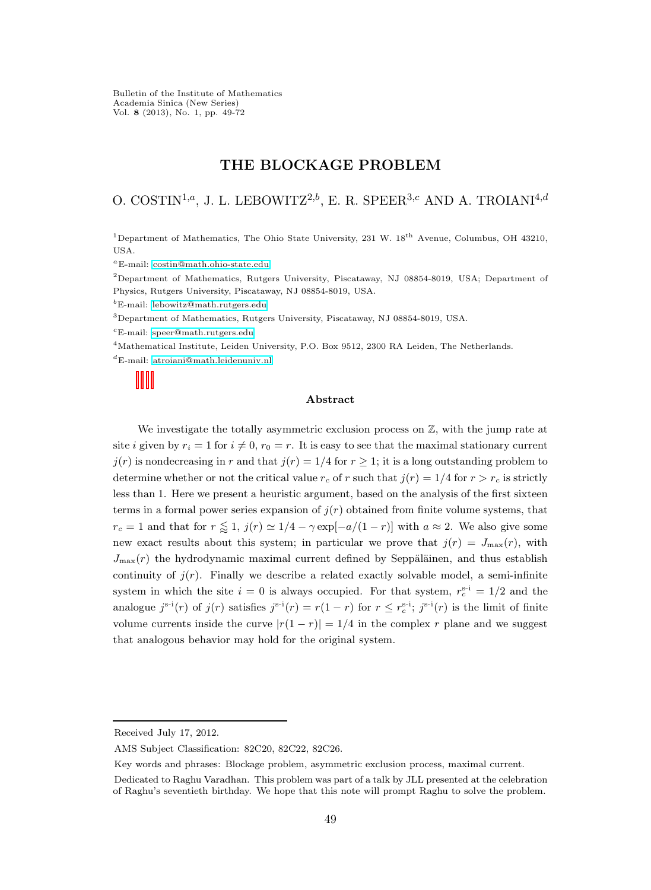Bulletin of the Institute of Mathematics Academia Sinica (New Series) Vol. 8 (2013), No. 1, pp. 49-72

# THE BLOCKAGE PROBLEM

# O. COSTIN<sup>1,a</sup>, J. L. LEBOWITZ<sup>2,b</sup>, E. R. SPEER<sup>3,c</sup> AND A. TROIANI<sup>4,d</sup>

<sup>1</sup>Department of Mathematics, The Ohio State University, 231 W. 18<sup>th</sup> Avenue, Columbus, OH 43210, USA.

<sup>a</sup>E-mail: [costin@math.ohio-state.edu](mailto:costin@math.ohio-state.edu)

<sup>2</sup>Department of Mathematics, Rutgers University, Piscataway, NJ 08854-8019, USA; Department of Physics, Rutgers University, Piscataway, NJ 08854-8019, USA.

<sup>b</sup>E-mail: [lebowitz@math.rutgers.edu](mailto:lebowitz@math.rutgers.edu)

<sup>3</sup>Department of Mathematics, Rutgers University, Piscataway, NJ 08854-8019, USA.

 ${}^cE$ -mail: [speer@math.rutgers.edu](mailto:speer@math.rutgers.edu)

<sup>4</sup>Mathematical Institute, Leiden University, P.O. Box 9512, 2300 RA Leiden, The Netherlands.

<sup>d</sup>E-mail: [atroiani@math.leidenuniv.nl](mailto:atroiani@math.leidenuniv.nl)

#### Abstract

We investigate the totally asymmetric exclusion process on  $\mathbb{Z}$ , with the jump rate at site i given by  $r_i = 1$  for  $i \neq 0$ ,  $r_0 = r$ . It is easy to see that the maximal stationary current  $j(r)$  is nondecreasing in r and that  $j(r) = 1/4$  for  $r \ge 1$ ; it is a long outstanding problem to determine whether or not the critical value  $r_c$  of r such that  $j(r) = 1/4$  for  $r > r_c$  is strictly less than 1. Here we present a heuristic argument, based on the analysis of the first sixteen terms in a formal power series expansion of  $j(r)$  obtained from finite volume systems, that  $r_c = 1$  and that for  $r \leq 1$ ,  $j(r) \approx 1/4 - \gamma \exp[-a/(1-r)]$  with  $a \approx 2$ . We also give some new exact results about this system; in particular we prove that  $j(r) = J_{\text{max}}(r)$ , with  $J_{\text{max}}(r)$  the hydrodynamic maximal current defined by Seppäläinen, and thus establish continuity of  $j(r)$ . Finally we describe a related exactly solvable model, a semi-infinite system in which the site  $i = 0$  is always occupied. For that system,  $r_c^{s-i} = 1/2$  and the analogue  $j^{s-i}(r)$  of  $j(r)$  satisfies  $j^{s-i}(r) = r(1-r)$  for  $r \leq r_c^{s-i}$ ;  $j^{s-i}(r)$  is the limit of finite volume currents inside the curve  $|r(1 - r)| = 1/4$  in the complex r plane and we suggest that analogous behavior may hold for the original system.

Key words and phrases: Blockage problem, asymmetric exclusion process, maximal current.

Received July 17, 2012.

AMS Subject Classification: 82C20, 82C22, 82C26.

Dedicated to Raghu Varadhan. This problem was part of a talk by JLL presented at the celebration of Raghu's seventieth birthday. We hope that this note will prompt Raghu to solve the problem.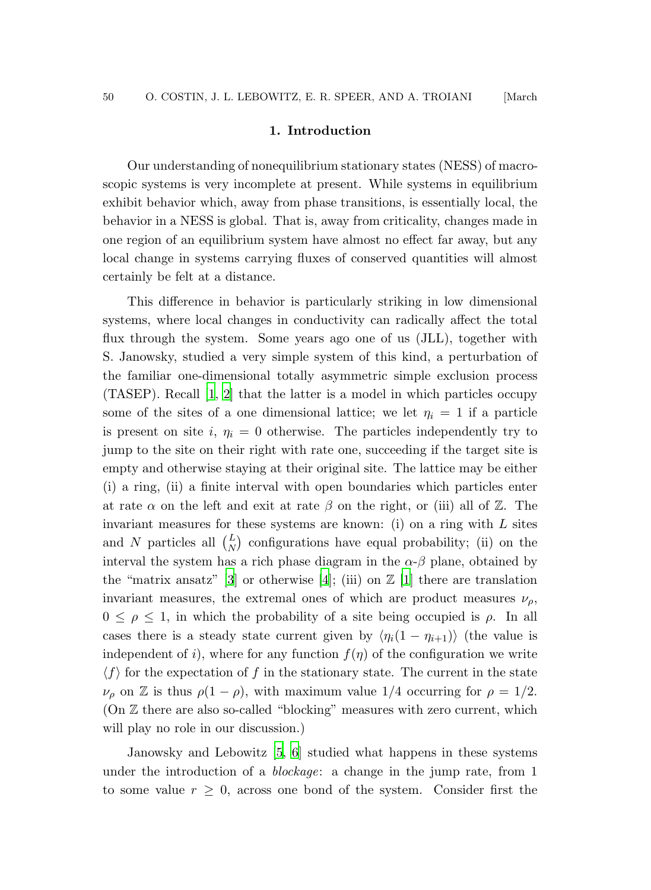#### 1. Introduction

Our understanding of nonequilibrium stationary states (NESS) of macroscopic systems is very incomplete at present. While systems in equilibrium exhibit behavior which, away from phase transitions, is essentially local, the behavior in a NESS is global. That is, away from criticality, changes made in one region of an equilibrium system have almost no effect far away, but any local change in systems carrying fluxes of conserved quantities will almost certainly be felt at a distance.

This difference in behavior is particularly striking in low dimensional systems, where local changes in conductivity can radically affect the total flux through the system. Some years ago one of us (JLL), together with S. Janowsky, studied a very simple system of this kind, a perturbation of the familiar one-dimensional totally asymmetric simple exclusion process (TASEP). Recall [\[1](#page-22-0), [2](#page-22-1)] that the latter is a model in which particles occupy some of the sites of a one dimensional lattice; we let  $\eta_i = 1$  if a particle is present on site i,  $\eta_i = 0$  otherwise. The particles independently try to jump to the site on their right with rate one, succeeding if the target site is empty and otherwise staying at their original site. The lattice may be either (i) a ring, (ii) a finite interval with open boundaries which particles enter at rate  $\alpha$  on the left and exit at rate  $\beta$  on the right, or (iii) all of  $\mathbb{Z}$ . The invariant measures for these systems are known: (i) on a ring with  $L$  sites and N particles all  $\binom{L}{N}$  configurations have equal probability; (ii) on the interval the system has a rich phase diagram in the  $\alpha-\beta$  plane, obtained by the "matrix ansatz" [\[3\]](#page-22-2) or otherwise [\[4](#page-22-3)]; (iii) on  $\mathbb{Z}$  [\[1](#page-22-0)] there are translation invariant measures, the extremal ones of which are product measures  $\nu_{\rho}$ ,  $0 \leq \rho \leq 1$ , in which the probability of a site being occupied is  $\rho$ . In all cases there is a steady state current given by  $\langle \eta_i(1 - \eta_{i+1}) \rangle$  (the value is independent of i), where for any function  $f(\eta)$  of the configuration we write  $\langle f \rangle$  for the expectation of f in the stationary state. The current in the state  $\nu_{\rho}$  on Z is thus  $\rho(1-\rho)$ , with maximum value 1/4 occurring for  $\rho = 1/2$ . (On Z there are also so-called "blocking" measures with zero current, which will play no role in our discussion.)

Janowsky and Lebowitz [\[5](#page-22-4), [6](#page-22-5)] studied what happens in these systems under the introduction of a blockage: a change in the jump rate, from 1 to some value  $r \geq 0$ , across one bond of the system. Consider first the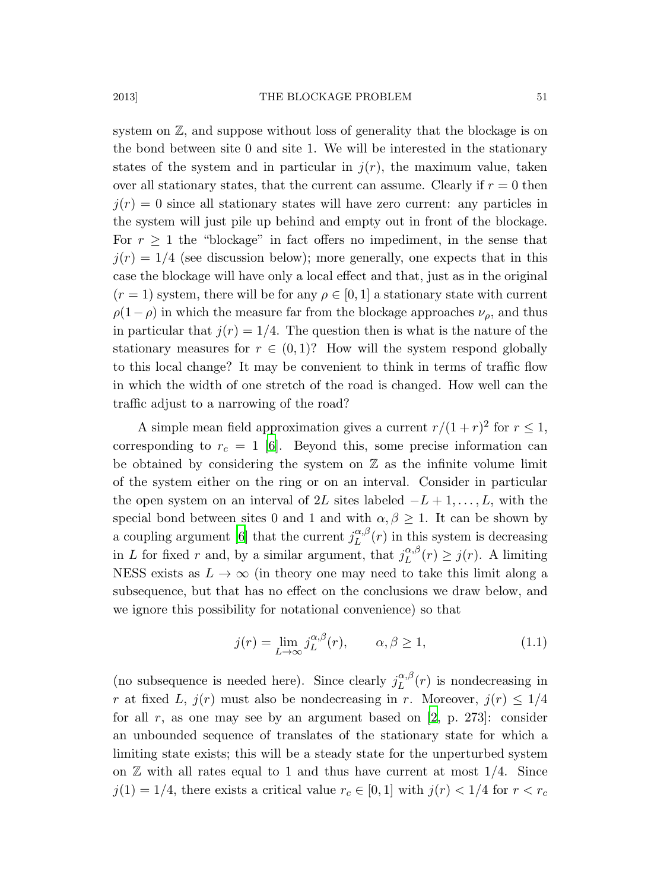system on  $\mathbb{Z}$ , and suppose without loss of generality that the blockage is on the bond between site 0 and site 1. We will be interested in the stationary states of the system and in particular in  $j(r)$ , the maximum value, taken over all stationary states, that the current can assume. Clearly if  $r = 0$  then  $j(r) = 0$  since all stationary states will have zero current: any particles in the system will just pile up behind and empty out in front of the blockage. For  $r \geq 1$  the "blockage" in fact offers no impediment, in the sense that  $j(r) = 1/4$  (see discussion below); more generally, one expects that in this case the blockage will have only a local effect and that, just as in the original  $(r = 1)$  system, there will be for any  $\rho \in [0, 1]$  a stationary state with current  $\rho(1-\rho)$  in which the measure far from the blockage approaches  $\nu_{\rho}$ , and thus in particular that  $j(r) = 1/4$ . The question then is what is the nature of the stationary measures for  $r \in (0,1)$ ? How will the system respond globally to this local change? It may be convenient to think in terms of traffic flow in which the width of one stretch of the road is changed. How well can the traffic adjust to a narrowing of the road?

A simple mean field approximation gives a current  $r/(1+r)^2$  for  $r \leq 1$ , corresponding to  $r_c = 1$  [\[6\]](#page-22-5). Beyond this, some precise information can be obtained by considering the system on  $\mathbb Z$  as the infinite volume limit of the system either on the ring or on an interval. Consider in particular the open system on an interval of 2L sites labeled  $-L+1, \ldots, L$ , with the special bond between sites 0 and 1 and with  $\alpha, \beta \geq 1$ . It can be shown by a coupling argument [\[6\]](#page-22-5) that the current  $j_L^{\alpha,\beta}$  $L^{(\alpha,\beta)}(r)$  in this system is decreasing in L for fixed r and, by a similar argument, that  $j_L^{\alpha,\beta}$  $L^{\alpha,\rho}(r) \geq j(r)$ . A limiting NESS exists as  $L \to \infty$  (in theory one may need to take this limit along a subsequence, but that has no effect on the conclusions we draw below, and we ignore this possibility for notational convenience) so that

<span id="page-2-0"></span>
$$
j(r) = \lim_{L \to \infty} j_L^{\alpha, \beta}(r), \qquad \alpha, \beta \ge 1,
$$
 (1.1)

(no subsequence is needed here). Since clearly  $j_L^{\alpha,\beta}$  $L^{(\alpha,\rho)}(r)$  is nondecreasing in r at fixed L,  $j(r)$  must also be nondecreasing in r. Moreover,  $j(r) \leq 1/4$ for all r, as one may see by an argument based on  $[2, p. 273]$ : consider an unbounded sequence of translates of the stationary state for which a limiting state exists; this will be a steady state for the unperturbed system on  $\mathbb Z$  with all rates equal to 1 and thus have current at most 1/4. Since  $j(1) = 1/4$ , there exists a critical value  $r_c \in [0, 1]$  with  $j(r) < 1/4$  for  $r < r_c$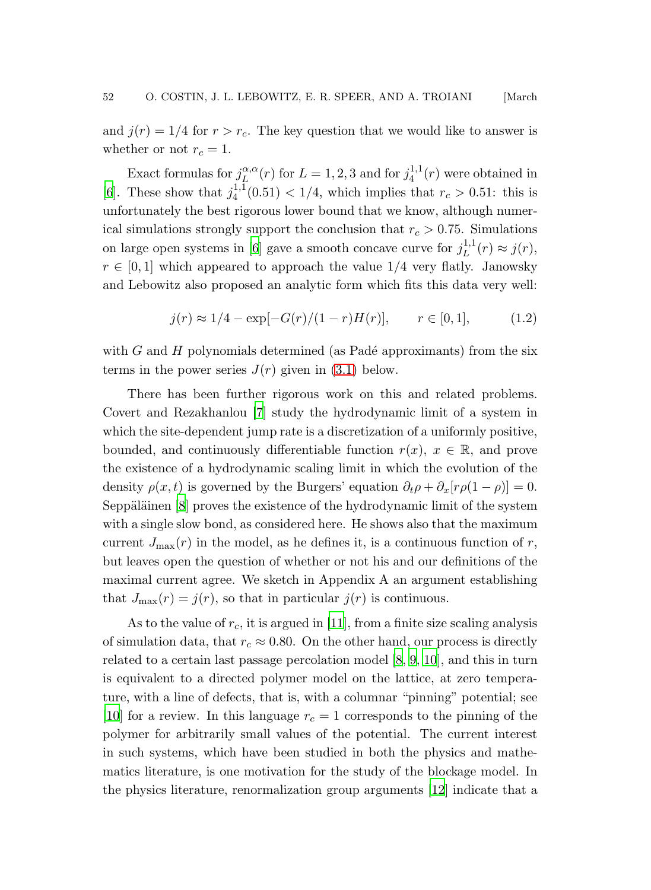and  $j(r) = 1/4$  for  $r > r_c$ . The key question that we would like to answer is whether or not  $r_c = 1$ .

Exact formulas for  $j_L^{\alpha,\alpha}$  $\mathcal{L}_{\mu}^{\alpha,\alpha}(r)$  for  $L=1,2,3$  and for  $j_4^{1,1}$  $\binom{1}{4}$ <sup>+</sup> $\binom{r}{4}$  were obtained in [\[6](#page-22-5)]. These show that  $j_4^{1,1}$  $\binom{4}{4}$  (0.51) < 1/4, which implies that  $r_c > 0.51$ : this is unfortunately the best rigorous lower bound that we know, although numerical simulations strongly support the conclusion that  $r_c > 0.75$ . Simulations on large open systems in [\[6](#page-22-5)] gave a smooth concave curve for  $j_L^{1,1}$  $j_L^{(1,1)}(r) \approx j(r),$  $r \in [0, 1]$  which appeared to approach the value 1/4 very flatly. Janowsky and Lebowitz also proposed an analytic form which fits this data very well:

<span id="page-3-0"></span>
$$
j(r) \approx 1/4 - \exp[-G(r)/(1-r)H(r)], \qquad r \in [0,1], \tag{1.2}
$$

with  $G$  and  $H$  polynomials determined (as Padé approximants) from the six terms in the power series  $J(r)$  given in [\(3.1\)](#page-7-0) below.

There has been further rigorous work on this and related problems. Covert and Rezakhanlou [\[7\]](#page-22-6) study the hydrodynamic limit of a system in which the site-dependent jump rate is a discretization of a uniformly positive, bounded, and continuously differentiable function  $r(x)$ ,  $x \in \mathbb{R}$ , and prove the existence of a hydrodynamic scaling limit in which the evolution of the density  $\rho(x, t)$  is governed by the Burgers' equation  $\partial_t \rho + \partial_x [r \rho(1 - \rho)] = 0$ . Seppäläinen  $[8]$  proves the existence of the hydrodynamic limit of the system with a single slow bond, as considered here. He shows also that the maximum current  $J_{\text{max}}(r)$  in the model, as he defines it, is a continuous function of r, but leaves open the question of whether or not his and our definitions of the maximal current agree. We sketch in Appendix A an argument establishing that  $J_{\text{max}}(r) = j(r)$ , so that in particular  $j(r)$  is continuous.

As to the value of  $r_c$ , it is argued in [\[11](#page-23-0)], from a finite size scaling analysis of simulation data, that  $r_c \approx 0.80$ . On the other hand, our process is directly related to a certain last passage percolation model [\[8](#page-22-7), [9,](#page-23-1) [10\]](#page-23-2), and this in turn is equivalent to a directed polymer model on the lattice, at zero temperature, with a line of defects, that is, with a columnar "pinning" potential; see [\[10\]](#page-23-2) for a review. In this language  $r_c = 1$  corresponds to the pinning of the polymer for arbitrarily small values of the potential. The current interest in such systems, which have been studied in both the physics and mathematics literature, is one motivation for the study of the blockage model. In the physics literature, renormalization group arguments [\[12](#page-23-3)] indicate that a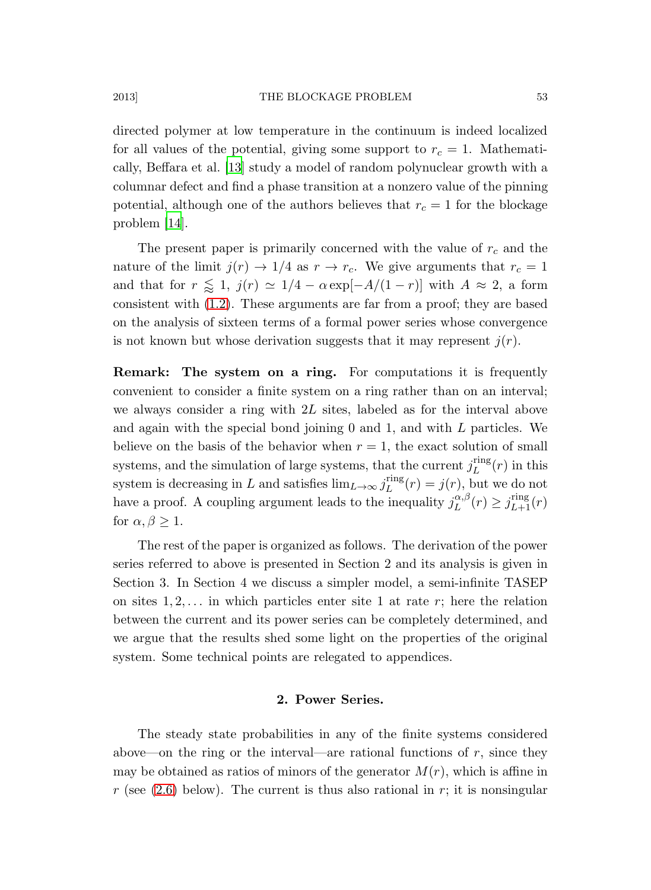directed polymer at low temperature in the continuum is indeed localized for all values of the potential, giving some support to  $r_c = 1$ . Mathematically, Beffara et al. [\[13\]](#page-23-4) study a model of random polynuclear growth with a columnar defect and find a phase transition at a nonzero value of the pinning potential, although one of the authors believes that  $r_c = 1$  for the blockage problem [\[14\]](#page-23-5).

The present paper is primarily concerned with the value of  $r_c$  and the nature of the limit  $j(r) \rightarrow 1/4$  as  $r \rightarrow r_c$ . We give arguments that  $r_c = 1$ and that for  $r \leq 1$ ,  $j(r) \simeq 1/4 - \alpha \exp[-A/(1-r)]$  with  $A \approx 2$ , a form consistent with [\(1.2\)](#page-3-0). These arguments are far from a proof; they are based on the analysis of sixteen terms of a formal power series whose convergence is not known but whose derivation suggests that it may represent  $j(r)$ .

Remark: The system on a ring. For computations it is frequently convenient to consider a finite system on a ring rather than on an interval; we always consider a ring with  $2L$  sites, labeled as for the interval above and again with the special bond joining 0 and 1, and with L particles. We believe on the basis of the behavior when  $r = 1$ , the exact solution of small systems, and the simulation of large systems, that the current  $j_L^{\text{ring}}$  $L^{\text{ring}}(r)$  in this system is decreasing in L and satisfies  $\lim_{L\to\infty} j_L^{\text{ring}}$  $L^{\text{ring}}(r) = j(r)$ , but we do not have a proof. A coupling argument leads to the inequality  $j_L^{\alpha,\beta}$  $L^{\alpha,\beta}(r) \geq j_{L+1}^{\text{ring}}(r)$ for  $\alpha, \beta \geq 1$ .

The rest of the paper is organized as follows. The derivation of the power series referred to above is presented in Section 2 and its analysis is given in Section 3. In Section 4 we discuss a simpler model, a semi-infinite TASEP on sites  $1, 2, \ldots$  in which particles enter site 1 at rate r; here the relation between the current and its power series can be completely determined, and we argue that the results shed some light on the properties of the original system. Some technical points are relegated to appendices.

# 2. Power Series.

The steady state probabilities in any of the finite systems considered above—on the ring or the interval—are rational functions of  $r$ , since they may be obtained as ratios of minors of the generator  $M(r)$ , which is affine in r (see  $(2.6)$  below). The current is thus also rational in r; it is nonsingular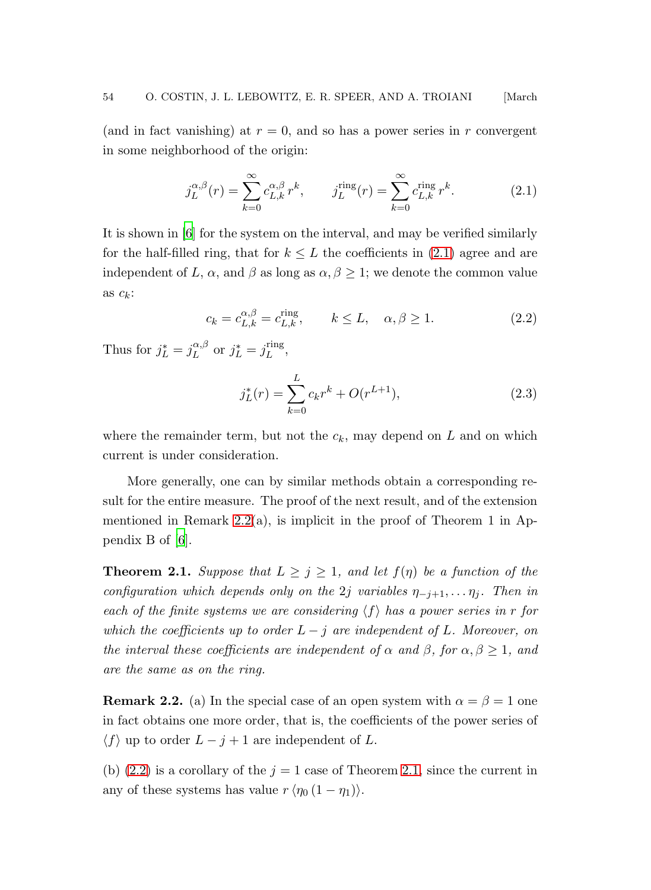(and in fact vanishing) at  $r = 0$ , and so has a power series in r convergent in some neighborhood of the origin:

<span id="page-5-0"></span>
$$
j_L^{\alpha,\beta}(r) = \sum_{k=0}^{\infty} c_{L,k}^{\alpha,\beta} r^k, \qquad j_L^{\text{ring}}(r) = \sum_{k=0}^{\infty} c_{L,k}^{\text{ring}} r^k.
$$
 (2.1)

<span id="page-5-2"></span>It is shown in [\[6](#page-22-5)] for the system on the interval, and may be verified similarly for the half-filled ring, that for  $k \leq L$  the coefficients in [\(2.1\)](#page-5-0) agree and are independent of L,  $\alpha$ , and  $\beta$  as long as  $\alpha, \beta \geq 1$ ; we denote the common value as  $c_k$ :

$$
c_k = c_{L,k}^{\alpha,\beta} = c_{L,k}^{\text{ring}}, \qquad k \le L, \quad \alpha, \beta \ge 1. \tag{2.2}
$$

Thus for  $j_L^* = j_L^{\alpha,\beta}$  $L^{\alpha,\beta}$  or  $j_L^* = j_L^{\text{ring}}$  $L^{I\text{ing}},$ 

<span id="page-5-4"></span>
$$
j_L^*(r) = \sum_{k=0}^L c_k r^k + O(r^{L+1}),
$$
\n(2.3)

where the remainder term, but not the  $c_k$ , may depend on L and on which current is under consideration.

More generally, one can by similar methods obtain a corresponding result for the entire measure. The proof of the next result, and of the extension mentioned in Remark [2.2\(](#page-5-1)a), is implicit in the proof of Theorem 1 in Appendix B of [\[6](#page-22-5)].

<span id="page-5-3"></span>**Theorem 2.1.** Suppose that  $L \geq j \geq 1$ , and let  $f(\eta)$  be a function of the configuration which depends only on the 2j variables  $\eta_{-j+1}, \ldots \eta_j$ . Then in each of the finite systems we are considering  $\langle f \rangle$  has a power series in r for which the coefficients up to order  $L - j$  are independent of L. Moreover, on the interval these coefficients are independent of  $\alpha$  and  $\beta$ , for  $\alpha, \beta \geq 1$ , and are the same as on the ring.

<span id="page-5-1"></span>**Remark 2.2.** (a) In the special case of an open system with  $\alpha = \beta = 1$  one in fact obtains one more order, that is, the coefficients of the power series of  $\langle f \rangle$  up to order  $L - j + 1$  are independent of L.

(b)  $(2.2)$  is a corollary of the  $j = 1$  case of Theorem [2.1,](#page-5-3) since the current in any of these systems has value  $r \langle \eta_0 (1 - \eta_1) \rangle$ .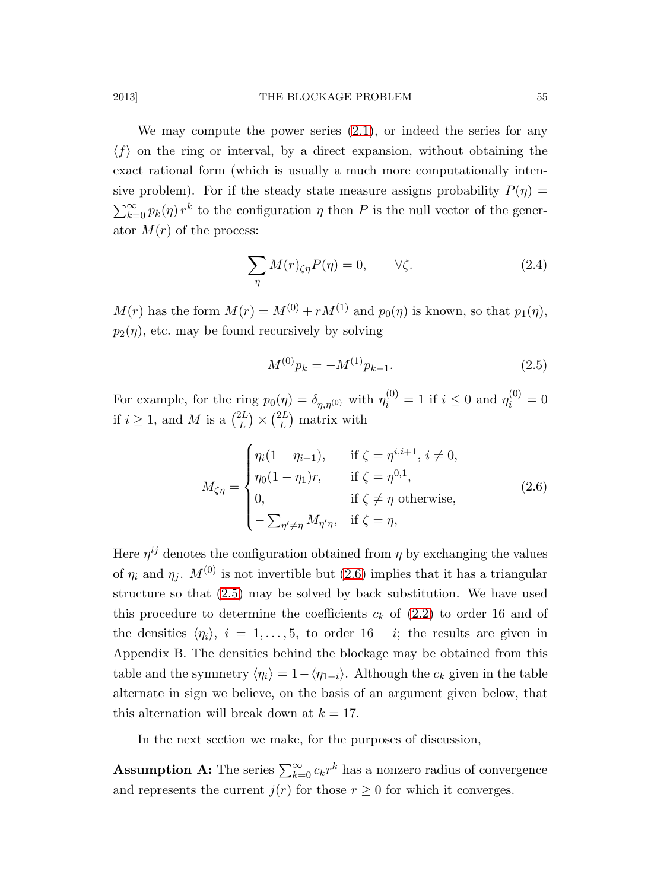We may compute the power series  $(2.1)$ , or indeed the series for any  $\langle f \rangle$  on the ring or interval, by a direct expansion, without obtaining the exact rational form (which is usually a much more computationally intensive problem). For if the steady state measure assigns probability  $P(\eta)$  =  $\sum_{k=0}^{\infty} p_k(\eta) r^k$  to the configuration  $\eta$  then P is the null vector of the generator  $M(r)$  of the process:

$$
\sum_{\eta} M(r)_{\zeta\eta} P(\eta) = 0, \qquad \forall \zeta.
$$
 (2.4)

 $M(r)$  has the form  $M(r) = M^{(0)} + rM^{(1)}$  and  $p_0(\eta)$  is known, so that  $p_1(\eta)$ ,  $p_2(\eta)$ , etc. may be found recursively by solving

<span id="page-6-1"></span><span id="page-6-0"></span>
$$
M^{(0)}p_k = -M^{(1)}p_{k-1}.
$$
\n(2.5)

For example, for the ring  $p_0(\eta) = \delta_{\eta, \eta^{(0)}}$  with  $\eta_i^{(0)} = 1$  if  $i \leq 0$  and  $\eta_i^{(0)} = 0$ if  $i \geq 1$ , and M is a  $\binom{2L}{L}$  $\binom{2L}{L} \times \binom{2L}{L}$  $\binom{2L}{L}$  matrix with

$$
M_{\zeta\eta} = \begin{cases} \eta_i(1 - \eta_{i+1}), & \text{if } \zeta = \eta^{i,i+1}, \ i \neq 0, \\ \eta_0(1 - \eta_1)r, & \text{if } \zeta = \eta^{0,1}, \\ 0, & \text{if } \zeta \neq \eta \text{ otherwise,} \\ -\sum_{\eta' \neq \eta} M_{\eta'\eta}, & \text{if } \zeta = \eta, \end{cases} \tag{2.6}
$$

Here  $\eta^{ij}$  denotes the configuration obtained from  $\eta$  by exchanging the values of  $\eta_i$  and  $\eta_j$ .  $M^{(0)}$  is not invertible but [\(2.6\)](#page-6-0) implies that it has a triangular structure so that [\(2.5\)](#page-6-1) may be solved by back substitution. We have used this procedure to determine the coefficients  $c_k$  of  $(2.2)$  to order 16 and of the densities  $\langle \eta_i \rangle$ ,  $i = 1, \ldots, 5$ , to order 16 − *i*; the results are given in Appendix B. The densities behind the blockage may be obtained from this table and the symmetry  $\langle \eta_i \rangle = 1 - \langle \eta_{1-i} \rangle$ . Although the  $c_k$  given in the table alternate in sign we believe, on the basis of an argument given below, that this alternation will break down at  $k = 17$ .

In the next section we make, for the purposes of discussion,

**Assumption A:** The series  $\sum_{k=0}^{\infty} c_k r^k$  has a nonzero radius of convergence and represents the current  $j(r)$  for those  $r \geq 0$  for which it converges.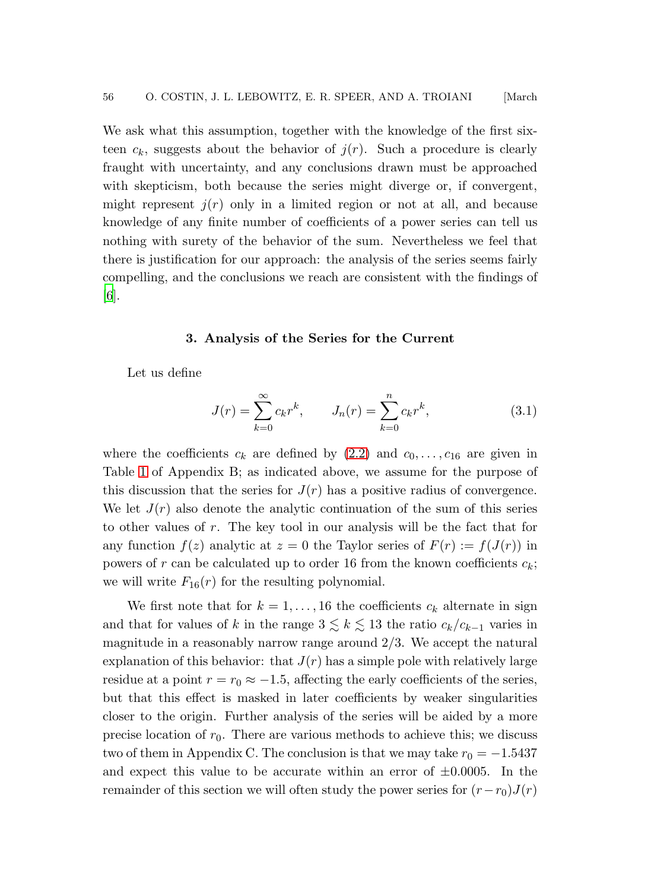We ask what this assumption, together with the knowledge of the first sixteen  $c_k$ , suggests about the behavior of  $j(r)$ . Such a procedure is clearly fraught with uncertainty, and any conclusions drawn must be approached with skepticism, both because the series might diverge or, if convergent, might represent  $j(r)$  only in a limited region or not at all, and because knowledge of any finite number of coefficients of a power series can tell us nothing with surety of the behavior of the sum. Nevertheless we feel that there is justification for our approach: the analysis of the series seems fairly compelling, and the conclusions we reach are consistent with the findings of [\[6](#page-22-5)].

#### 3. Analysis of the Series for the Current

Let us define

<span id="page-7-0"></span>
$$
J(r) = \sum_{k=0}^{\infty} c_k r^k, \qquad J_n(r) = \sum_{k=0}^{n} c_k r^k,
$$
 (3.1)

where the coefficients  $c_k$  are defined by [\(2.2\)](#page-5-2) and  $c_0, \ldots, c_{16}$  are given in Table [1](#page-20-0) of Appendix B; as indicated above, we assume for the purpose of this discussion that the series for  $J(r)$  has a positive radius of convergence. We let  $J(r)$  also denote the analytic continuation of the sum of this series to other values of r. The key tool in our analysis will be the fact that for any function  $f(z)$  analytic at  $z = 0$  the Taylor series of  $F(r) := f(J(r))$  in powers of r can be calculated up to order 16 from the known coefficients  $c_k$ ; we will write  $F_{16}(r)$  for the resulting polynomial.

We first note that for  $k = 1, ..., 16$  the coefficients  $c_k$  alternate in sign and that for values of k in the range  $3 \lesssim k \lesssim 13$  the ratio  $c_k/c_{k-1}$  varies in magnitude in a reasonably narrow range around  $2/3$ . We accept the natural explanation of this behavior: that  $J(r)$  has a simple pole with relatively large residue at a point  $r = r_0 \approx -1.5$ , affecting the early coefficients of the series, but that this effect is masked in later coefficients by weaker singularities closer to the origin. Further analysis of the series will be aided by a more precise location of  $r_0$ . There are various methods to achieve this; we discuss two of them in Appendix C. The conclusion is that we may take  $r_0 = -1.5437$ and expect this value to be accurate within an error of  $\pm 0.0005$ . In the remainder of this section we will often study the power series for  $(r-r_0)J(r)$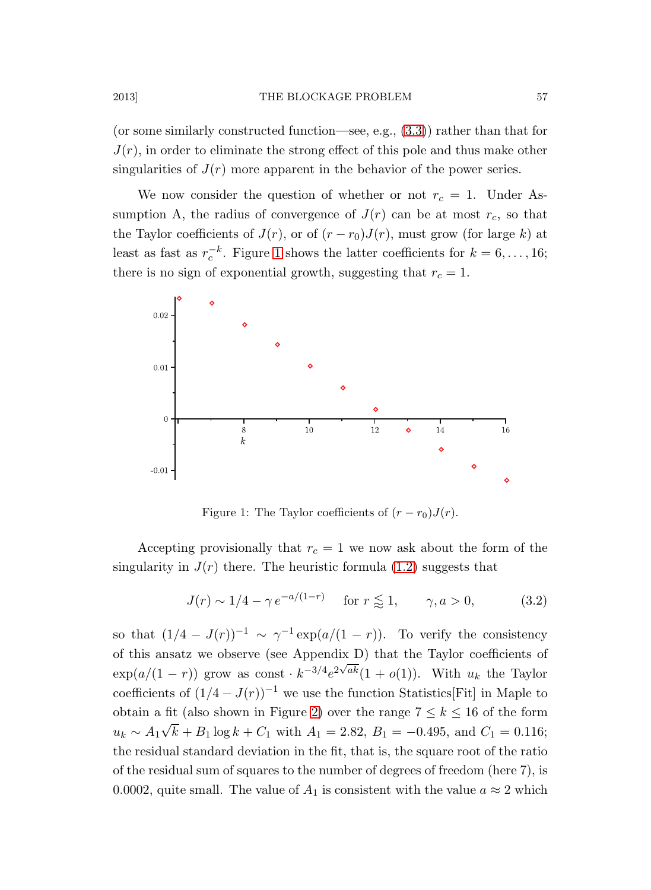(or some similarly constructed function—see, e.g., [\(3.3\)](#page-9-0)) rather than that for  $J(r)$ , in order to eliminate the strong effect of this pole and thus make other singularities of  $J(r)$  more apparent in the behavior of the power series.

We now consider the question of whether or not  $r_c = 1$ . Under Assumption A, the radius of convergence of  $J(r)$  can be at most  $r_c$ , so that the Taylor coefficients of  $J(r)$ , or of  $(r - r_0)J(r)$ , must grow (for large k) at least as fast as  $r_c^{-k}$ . Figure [1](#page-8-0) shows the latter coefficients for  $k = 6, \ldots, 16$ ; there is no sign of exponential growth, suggesting that  $r_c = 1$ .



<span id="page-8-1"></span><span id="page-8-0"></span>Figure 1: The Taylor coefficients of  $(r - r_0)J(r)$ .

Accepting provisionally that  $r_c = 1$  we now ask about the form of the singularity in  $J(r)$  there. The heuristic formula [\(1.2\)](#page-3-0) suggests that

$$
J(r) \sim 1/4 - \gamma e^{-a/(1-r)} \quad \text{for } r \lessapprox 1, \qquad \gamma, a > 0,
$$
 (3.2)

so that  $(1/4 - J(r))^{-1} \sim \gamma^{-1} \exp(a/(1 - r))$ . To verify the consistency of this ansatz we observe (see Appendix D) that the Taylor coefficients of  $\exp(a/(1-r))$  grow as const  $k^{-3/4}e^{2\sqrt{ak}}(1+o(1))$ . With  $u_k$  the Taylor coefficients of  $(1/4 - J(r))^{-1}$  we use the function Statistics[Fit] in Maple to obtain a fit (also shown in Figure [2\)](#page-9-1) over the range  $7 \leq k \leq 16$  of the form  $u_k \sim A_1 \sqrt{k} + B_1 \log k + C_1$  with  $A_1 = 2.82$ ,  $B_1 = -0.495$ , and  $C_1 = 0.116$ ; the residual standard deviation in the fit, that is, the square root of the ratio of the residual sum of squares to the number of degrees of freedom (here 7), is 0.0002, quite small. The value of  $A_1$  is consistent with the value  $a \approx 2$  which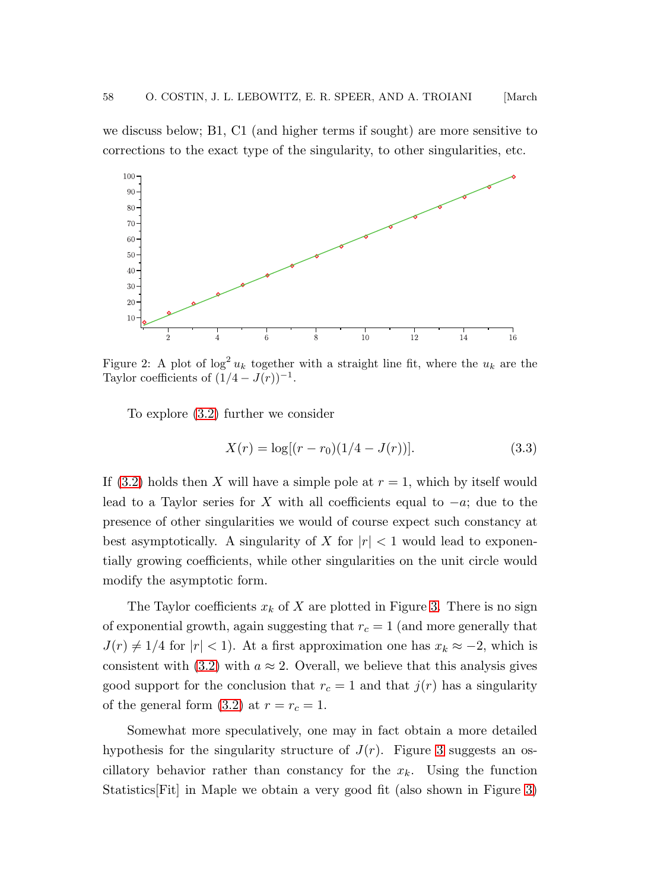we discuss below; B1, C1 (and higher terms if sought) are more sensitive to corrections to the exact type of the singularity, to other singularities, etc.



Figure 2: A plot of  $\log^2 u_k$  together with a straight line fit, where the  $u_k$  are the Taylor coefficients of  $(1/4 - J(r))^{-1}$ .

<span id="page-9-1"></span>To explore [\(3.2\)](#page-8-1) further we consider

<span id="page-9-0"></span>
$$
X(r) = \log[(r - r_0)(1/4 - J(r))]. \tag{3.3}
$$

If [\(3.2\)](#page-8-1) holds then X will have a simple pole at  $r = 1$ , which by itself would lead to a Taylor series for X with all coefficients equal to  $-a$ ; due to the presence of other singularities we would of course expect such constancy at best asymptotically. A singularity of X for  $|r| < 1$  would lead to exponentially growing coefficients, while other singularities on the unit circle would modify the asymptotic form.

The Taylor coefficients  $x_k$  of X are plotted in Figure [3.](#page-10-0) There is no sign of exponential growth, again suggesting that  $r_c = 1$  (and more generally that  $J(r) \neq 1/4$  for  $|r| < 1$ ). At a first approximation one has  $x_k \approx -2$ , which is consistent with [\(3.2\)](#page-8-1) with  $a \approx 2$ . Overall, we believe that this analysis gives good support for the conclusion that  $r_c = 1$  and that  $j(r)$  has a singularity of the general form [\(3.2\)](#page-8-1) at  $r = r_c = 1$ .

Somewhat more speculatively, one may in fact obtain a more detailed hypothesis for the singularity structure of  $J(r)$ . Figure [3](#page-10-0) suggests an oscillatory behavior rather than constancy for the  $x_k$ . Using the function Statistics[Fit] in Maple we obtain a very good fit (also shown in Figure [3\)](#page-10-0)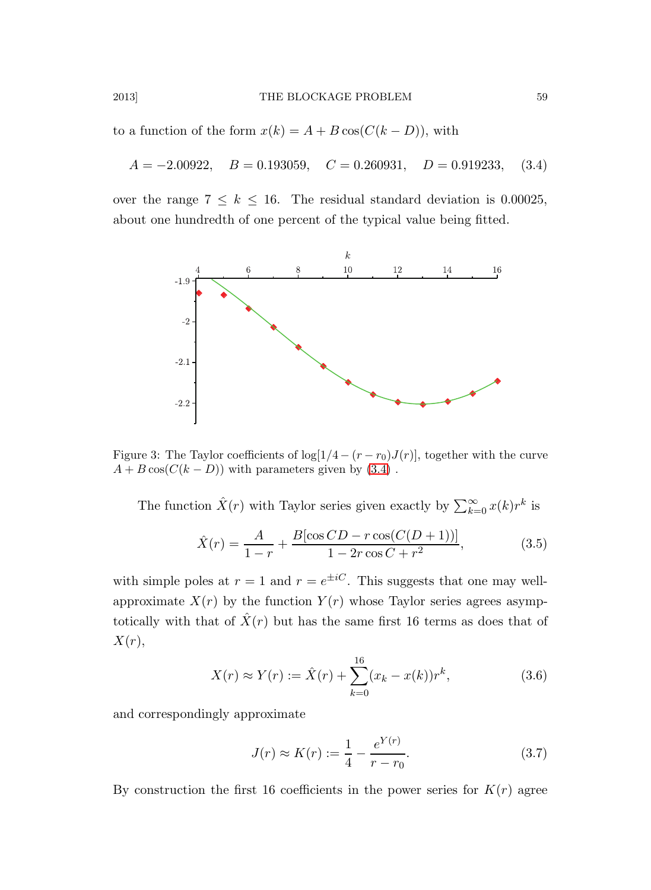to a function of the form  $x(k) = A + B \cos(C(k - D))$ , with

$$
A = -2.00922
$$
,  $B = 0.193059$ ,  $C = 0.260931$ ,  $D = 0.919233$ , (3.4)

over the range  $7 \leq k \leq 16$ . The residual standard deviation is 0.00025, about one hundredth of one percent of the typical value being fitted.

<span id="page-10-1"></span>

Figure 3: The Taylor coefficients of  $\log[1/4 - (r - r_0)J(r)]$ , together with the curve  $A + B \cos(C(k - D))$  with parameters given by [\(3.4\)](#page-10-1).

<span id="page-10-0"></span>The function  $\hat{X}(r)$  with Taylor series given exactly by  $\sum_{k=0}^{\infty} x(k)r^k$  is

$$
\hat{X}(r) = \frac{A}{1-r} + \frac{B[\cos CD - r\cos(C(D+1))]}{1 - 2r\cos C + r^2},
$$
\n(3.5)

with simple poles at  $r = 1$  and  $r = e^{\pm iC}$ . This suggests that one may wellapproximate  $X(r)$  by the function  $Y(r)$  whose Taylor series agrees asymptotically with that of  $\hat{X}(r)$  but has the same first 16 terms as does that of  $X(r),$ 

$$
X(r) \approx Y(r) := \hat{X}(r) + \sum_{k=0}^{16} (x_k - x(k))r^k,
$$
\n(3.6)

and correspondingly approximate

<span id="page-10-2"></span>
$$
J(r) \approx K(r) := \frac{1}{4} - \frac{e^{Y(r)}}{r - r_0}.
$$
 (3.7)

By construction the first 16 coefficients in the power series for  $K(r)$  agree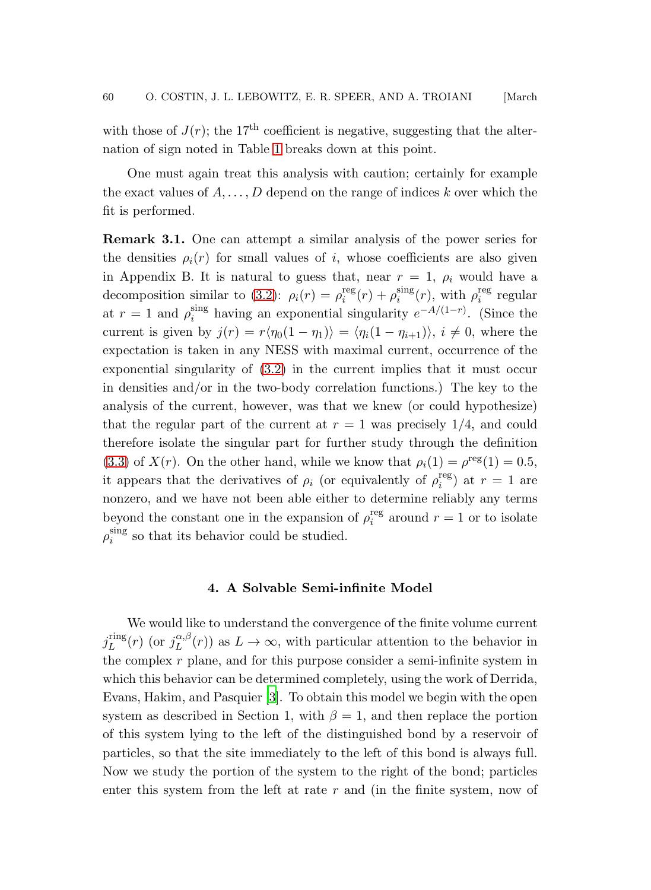with those of  $J(r)$ ; the 17<sup>th</sup> coefficient is negative, suggesting that the alternation of sign noted in Table [1](#page-20-0) breaks down at this point.

One must again treat this analysis with caution; certainly for example the exact values of  $A, \ldots, D$  depend on the range of indices k over which the fit is performed.

Remark 3.1. One can attempt a similar analysis of the power series for the densities  $\rho_i(r)$  for small values of i, whose coefficients are also given in Appendix B. It is natural to guess that, near  $r = 1$ ,  $\rho_i$  would have a decomposition similar to [\(3.2\)](#page-8-1):  $\rho_i(r) = \rho_i^{\text{reg}}$  $i$ <sup>reg</sup> $(r) + \rho_i$ <sup>sing</sup>  $\sum_{i}^{\text{sing}}(r)$ , with  $\rho_i^{\text{reg}}$  $i$ <sup>reg</sup> regular at  $r=1$  and  $\rho_i^{\text{sing}}$  $\sum_{i=1}^{\text{sing}}$  having an exponential singularity  $e^{-A/(1-r)}$ . (Since the current is given by  $j(r) = r\langle \eta_0(1 - \eta_1) \rangle = \langle \eta_i(1 - \eta_{i+1}) \rangle, i \neq 0$ , where the expectation is taken in any NESS with maximal current, occurrence of the exponential singularity of  $(3.2)$  in the current implies that it must occur in densities and/or in the two-body correlation functions.) The key to the analysis of the current, however, was that we knew (or could hypothesize) that the regular part of the current at  $r = 1$  was precisely 1/4, and could therefore isolate the singular part for further study through the definition [\(3.3\)](#page-9-0) of  $X(r)$ . On the other hand, while we know that  $\rho_i(1) = \rho^{\text{reg}}(1) = 0.5$ , it appears that the derivatives of  $\rho_i$  (or equivalently of  $\rho_i^{\text{reg}}$  $i_i^{\text{reg}}$  at  $r=1$  are nonzero, and we have not been able either to determine reliably any terms beyond the constant one in the expansion of  $\rho_i^{\text{reg}}$  $i_i^{\text{reg}}$  around  $r = 1$  or to isolate  $\rho_i^{\rm sing}$  $\sum_{i=1}^{\text{sing}}$  so that its behavior could be studied.

# 4. A Solvable Semi-infinite Model

We would like to understand the convergence of the finite volume current  $j_L^{\rm ring}$  $L^{\text{ring}}(r)$  (or  $j_L^{\alpha,\beta}$  $L^{(\alpha,\beta)}(r)$  as  $L \to \infty$ , with particular attention to the behavior in the complex  $r$  plane, and for this purpose consider a semi-infinite system in which this behavior can be determined completely, using the work of Derrida, Evans, Hakim, and Pasquier [\[3](#page-22-2)]. To obtain this model we begin with the open system as described in Section 1, with  $\beta = 1$ , and then replace the portion of this system lying to the left of the distinguished bond by a reservoir of particles, so that the site immediately to the left of this bond is always full. Now we study the portion of the system to the right of the bond; particles enter this system from the left at rate  $r$  and (in the finite system, now of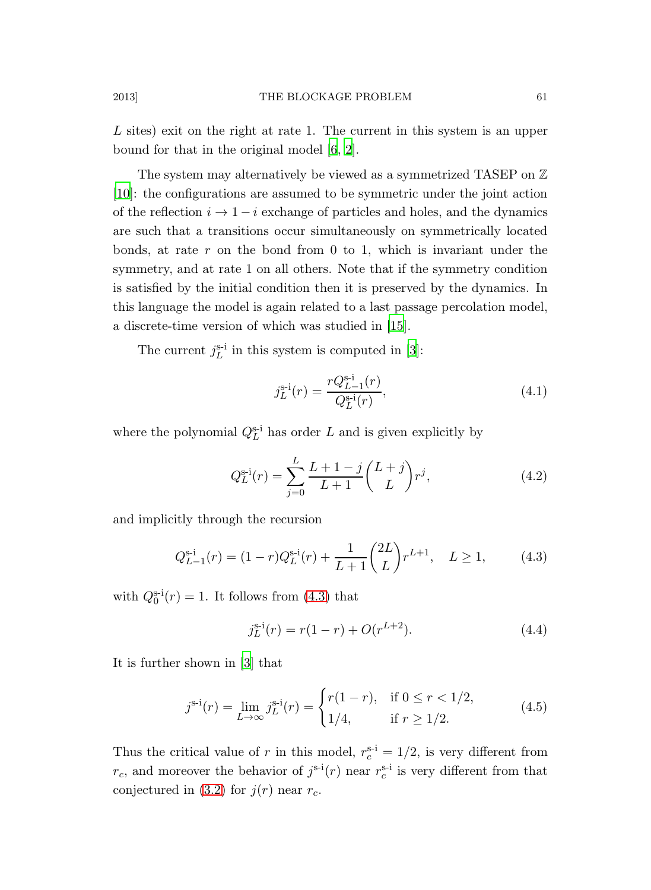L sites) exit on the right at rate 1. The current in this system is an upper bound for that in the original model [\[6](#page-22-5), [2](#page-22-1)].

The system may alternatively be viewed as a symmetrized TASEP on  $\mathbb Z$ [\[10](#page-23-2)]: the configurations are assumed to be symmetric under the joint action of the reflection  $i \rightarrow 1-i$  exchange of particles and holes, and the dynamics are such that a transitions occur simultaneously on symmetrically located bonds, at rate  $r$  on the bond from 0 to 1, which is invariant under the symmetry, and at rate 1 on all others. Note that if the symmetry condition is satisfied by the initial condition then it is preserved by the dynamics. In this language the model is again related to a last passage percolation model, a discrete-time version of which was studied in [\[15](#page-23-6)].

The current  $j_L^{s-i}$  in this system is computed in [\[3\]](#page-22-2):

$$
j_L^{\rm s-i}(r) = \frac{rQ_{L-1}^{\rm s-i}(r)}{Q_L^{\rm s-i}(r)},\tag{4.1}
$$

where the polynomial  $Q_L^{\text{s-i}}$  has order L and is given explicitly by

$$
Q_L^{\rm s-i}(r) = \sum_{j=0}^{L} \frac{L+1-j}{L+1} {L+j \choose L} r^j,
$$
\n(4.2)

and implicitly through the recursion

$$
Q_{L-1}^{\text{s-i}}(r) = (1-r)Q_L^{\text{s-i}}(r) + \frac{1}{L+1} \binom{2L}{L} r^{L+1}, \quad L \ge 1,\tag{4.3}
$$

with  $Q_0^{\text{s-i}}(r) = 1$ . It follows from [\(4.3\)](#page-22-8) that

$$
j_L^{s-i}(r) = r(1-r) + O(r^{L+2}).
$$
\n(4.4)

It is further shown in [\[3](#page-22-2)] that

$$
j^{\text{s-i}}(r) = \lim_{L \to \infty} j_L^{\text{s-i}}(r) = \begin{cases} r(1-r), & \text{if } 0 \le r < 1/2, \\ 1/4, & \text{if } r \ge 1/2. \end{cases} \tag{4.5}
$$

Thus the critical value of r in this model,  $r_c^{s-i} = 1/2$ , is very different from  $r_c$ , and moreover the behavior of  $j^{\text{s-i}}(r)$  near  $r_c^{\text{s-i}}$  is very different from that conjectured in [\(3.2\)](#page-8-1) for  $j(r)$  near  $r_c$ .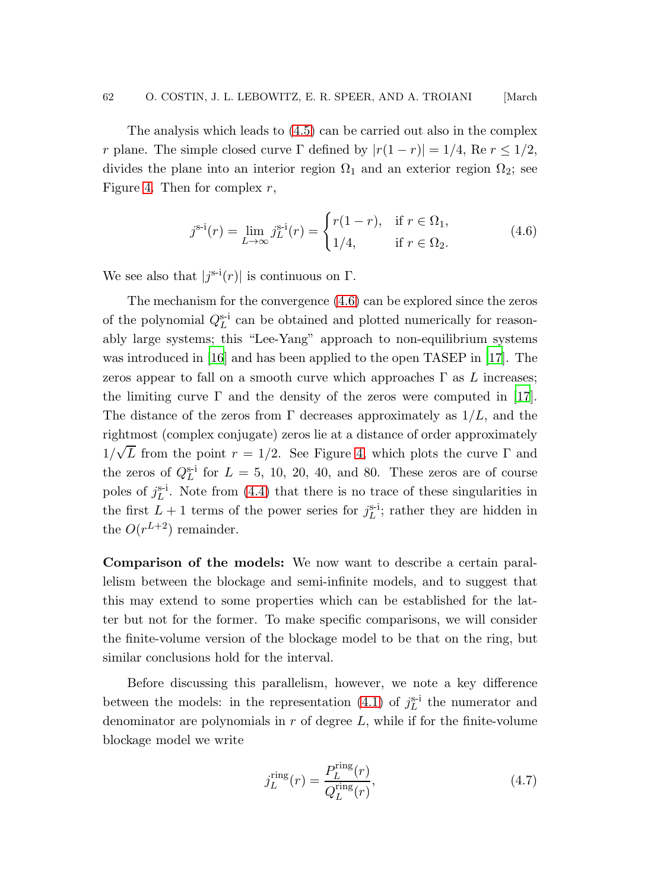The analysis which leads to [\(4.5\)](#page-18-0) can be carried out also in the complex r plane. The simple closed curve Γ defined by  $|r(1 - r)| = 1/4$ , Re  $r \le 1/2$ , divides the plane into an interior region  $\Omega_1$  and an exterior region  $\Omega_2$ ; see Figure [4.](#page-14-0) Then for complex  $r$ ,

$$
j^{\text{s-i}}(r) = \lim_{L \to \infty} j_L^{\text{s-i}}(r) = \begin{cases} r(1-r), & \text{if } r \in \Omega_1, \\ 1/4, & \text{if } r \in \Omega_2. \end{cases}
$$
(4.6)

We see also that  $|j^{\text{s-i}}(r)|$  is continuous on  $\Gamma$ .

The mechanism for the convergence [\(4.6\)](#page-19-0) can be explored since the zeros of the polynomial  $Q_L^{\rm s-i}$  can be obtained and plotted numerically for reasonably large systems; this "Lee-Yang" approach to non-equilibrium systems was introduced in [\[16](#page-23-7)] and has been applied to the open TASEP in [\[17](#page-23-8)]. The zeros appear to fall on a smooth curve which approaches  $\Gamma$  as L increases; the limiting curve  $\Gamma$  and the density of the zeros were computed in [\[17\]](#page-23-8). The distance of the zeros from  $\Gamma$  decreases approximately as  $1/L$ , and the rightmost (complex conjugate) zeros lie at a distance of order approximately  $1/\sqrt{L}$  from the point  $r = 1/2$ . See Figure [4,](#page-14-0) which plots the curve  $\Gamma$  and the zeros of  $Q_L^{\text{s-i}}$  for  $L = 5, 10, 20, 40, \text{ and } 80$ . These zeros are of course poles of  $j_L^{\rm s-i}$ . Note from [\(4.4\)](#page-22-9) that there is no trace of these singularities in the first  $L + 1$  terms of the power series for  $j_L^{s-i}$ ; rather they are hidden in the  $O(r^{L+2})$  remainder.

Comparison of the models: We now want to describe a certain parallelism between the blockage and semi-infinite models, and to suggest that this may extend to some properties which can be established for the latter but not for the former. To make specific comparisons, we will consider the finite-volume version of the blockage model to be that on the ring, but similar conclusions hold for the interval.

Before discussing this parallelism, however, we note a key difference between the models: in the representation [\(4.1\)](#page-22-10) of  $j_L^{s-i}$  the numerator and denominator are polynomials in  $r$  of degree  $L$ , while if for the finite-volume blockage model we write

$$
j_L^{\text{ring}}(r) = \frac{P_L^{\text{ring}}(r)}{Q_L^{\text{ring}}(r)},\tag{4.7}
$$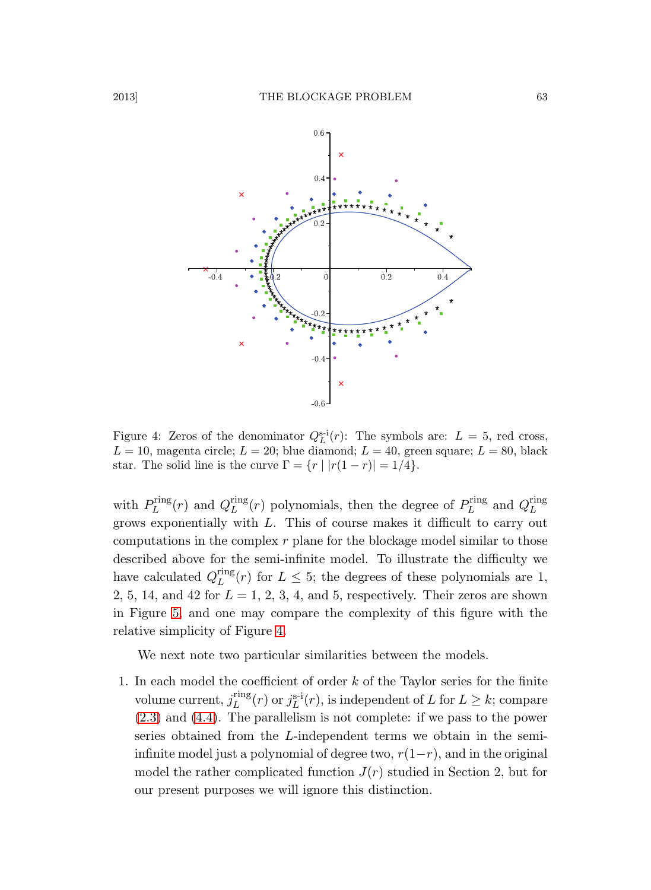

<span id="page-14-0"></span>Figure 4: Zeros of the denominator  $Q_L^{s-i}(r)$ : The symbols are:  $L = 5$ , red cross,  $L = 10$ , magenta circle;  $L = 20$ ; blue diamond;  $L = 40$ , green square;  $L = 80$ , black star. The solid line is the curve  $\Gamma = \{r \mid |r(1 - r)| = 1/4\}.$ 

with  $P_L^{\text{ring}}$  $L_L^{\text{ring}}(r)$  and  $Q_L^{\text{ring}}$  $L_{L}^{ring}(r)$  polynomials, then the degree of  $P_{L}^{ring}$  $L_L^{\text{ring}}$  and  $Q_L^{\text{ring}}$ L grows exponentially with L. This of course makes it difficult to carry out computations in the complex  $r$  plane for the blockage model similar to those described above for the semi-infinite model. To illustrate the difficulty we have calculated  $Q_L^{\text{ring}}$  $L_{L}^{\text{Lung}}(r)$  for  $L \leq 5$ ; the degrees of these polynomials are 1, 2, 5, 14, and 42 for  $L = 1, 2, 3, 4$ , and 5, respectively. Their zeros are shown in Figure [5,](#page-15-0) and one may compare the complexity of this figure with the relative simplicity of Figure [4.](#page-14-0)

We next note two particular similarities between the models.

1. In each model the coefficient of order  $k$  of the Taylor series for the finite volume current,  $j_L^{\text{ring}}$  $L_{L}^{rng}(r)$  or  $j_{L}^{s-i}(r)$ , is independent of L for  $L \geq k$ ; compare [\(2.3\)](#page-5-4) and [\(4.4\)](#page-22-9). The parallelism is not complete: if we pass to the power series obtained from the L-independent terms we obtain in the semiinfinite model just a polynomial of degree two,  $r(1-r)$ , and in the original model the rather complicated function  $J(r)$  studied in Section 2, but for our present purposes we will ignore this distinction.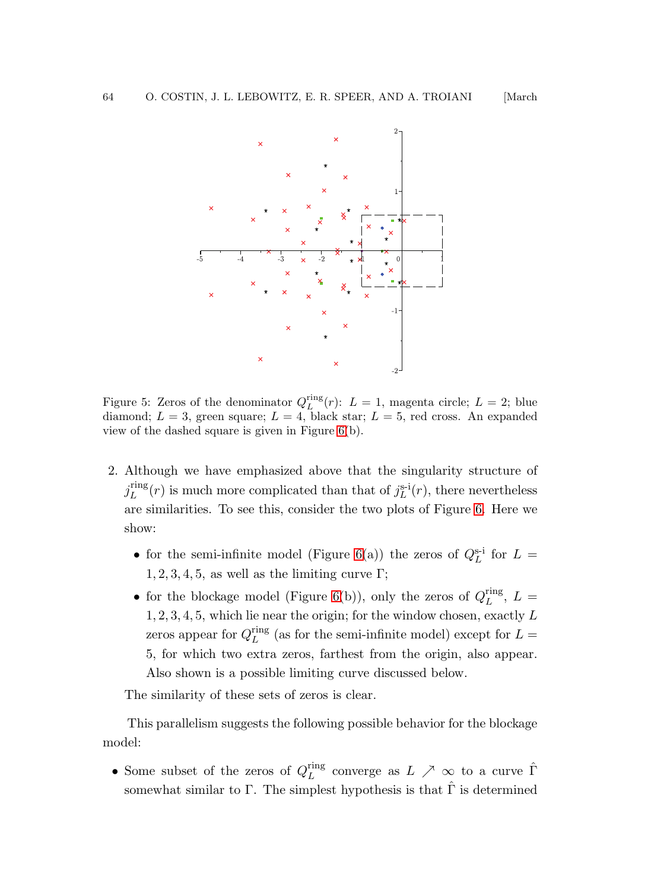

<span id="page-15-0"></span>Figure 5: Zeros of the denominator  $Q_L^{\text{ring}}(r)$ :  $L = 1$ , magenta circle;  $L = 2$ ; blue diamond;  $L = 3$ , green square;  $L = 4$ , black star;  $L = 5$ , red cross. An expanded view of the dashed square is given in Figure [6\(](#page-16-0)b).

 $-2$ 

- 2. Although we have emphasized above that the singularity structure of  $j_L^{\rm ring}$  $L_{L}^{rng}(r)$  is much more complicated than that of  $j_{L}^{s-i}(r)$ , there nevertheless are similarities. To see this, consider the two plots of Figure [6.](#page-16-0) Here we show:
	- for the semi-infinite model (Figure [6\(](#page-16-0)a)) the zeros of  $Q_L^{\text{s-i}}$  for  $L =$  $1, 2, 3, 4, 5$ , as well as the limiting curve Γ;
	- for the blockage model (Figure [6\(](#page-16-0)b)), only the zeros of  $Q_L^{\text{ring}}$  $\mathcal{L}^{\text{ing}}$ ,  $L =$  $1, 2, 3, 4, 5$ , which lie near the origin; for the window chosen, exactly  $L$ zeros appear for  $Q_L^{\text{ring}}$  $L_{L}^{\text{Lung}}$  (as for the semi-infinite model) except for  $L =$ 5, for which two extra zeros, farthest from the origin, also appear. Also shown is a possible limiting curve discussed below.

The similarity of these sets of zeros is clear.

This parallelism suggests the following possible behavior for the blockage model:

• Some subset of the zeros of  $Q_L^{\text{ring}}$  $L \nightharpoonup L$  converge as  $L \nearrow \infty$  to a curve  $\hat{\Gamma}$ somewhat similar to Γ. The simplest hypothesis is that  $\hat{\Gamma}$  is determined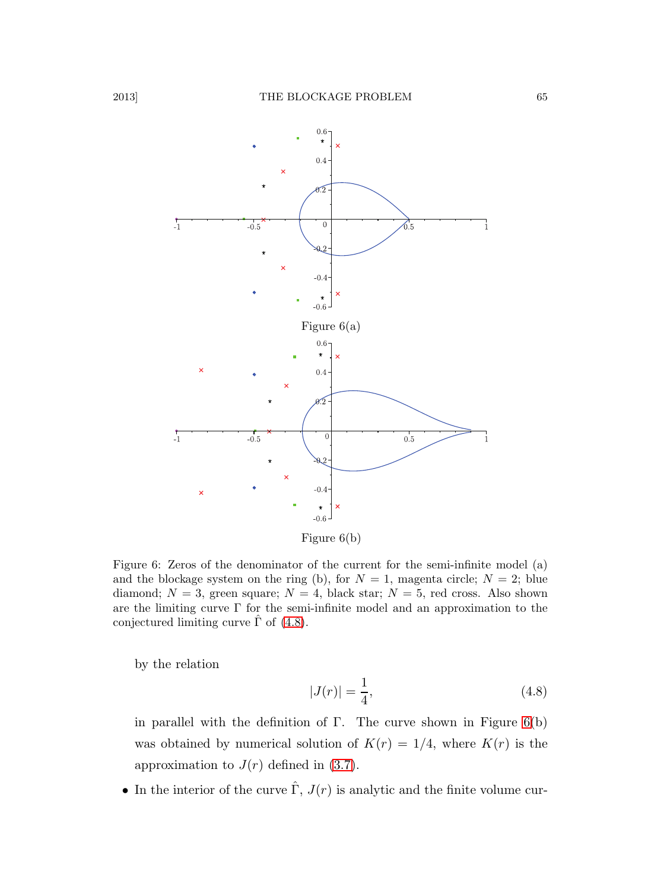

Figure 6(b)

<span id="page-16-0"></span>Figure 6: Zeros of the denominator of the current for the semi-infinite model (a) and the blockage system on the ring (b), for  $N = 1$ , magenta circle;  $N = 2$ ; blue diamond;  $N = 3$ , green square;  $N = 4$ , black star;  $N = 5$ , red cross. Also shown are the limiting curve Γ for the semi-infinite model and an approximation to the conjectured limiting curve  $\Gamma$  of [\(4.8\)](#page-16-1).

by the relation

<span id="page-16-1"></span>
$$
|J(r)| = \frac{1}{4},\tag{4.8}
$$

in parallel with the definition of Γ. The curve shown in Figure  $6(b)$  $6(b)$ was obtained by numerical solution of  $K(r) = 1/4$ , where  $K(r)$  is the approximation to  $J(r)$  defined in [\(3.7\)](#page-10-2).

• In the interior of the curve  $\hat{\Gamma}$ ,  $J(r)$  is analytic and the finite volume cur-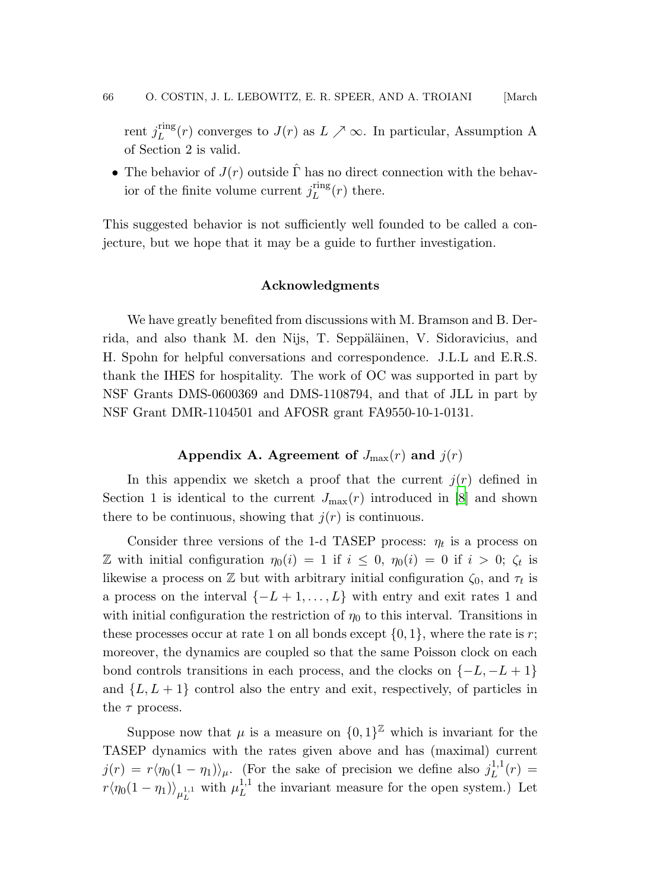rent  $j_L^{\text{ring}}$  $L^{mg}(r)$  converges to  $J(r)$  as  $L \nearrow \infty$ . In particular, Assumption A of Section 2 is valid.

• The behavior of  $J(r)$  outside  $\hat{\Gamma}$  has no direct connection with the behavior of the finite volume current  $j_L^{\text{ring}}$  $L^{(1)}(r)$  there.

This suggested behavior is not sufficiently well founded to be called a conjecture, but we hope that it may be a guide to further investigation.

#### Acknowledgments

We have greatly benefited from discussions with M. Bramson and B. Derrida, and also thank M. den Nijs, T. Seppäläinen, V. Sidoravicius, and H. Spohn for helpful conversations and correspondence. J.L.L and E.R.S. thank the IHES for hospitality. The work of OC was supported in part by NSF Grants DMS-0600369 and DMS-1108794, and that of JLL in part by NSF Grant DMR-1104501 and AFOSR grant FA9550-10-1-0131.

# Appendix A. Agreement of  $J_{\text{max}}(r)$  and  $j(r)$

In this appendix we sketch a proof that the current  $j(r)$  defined in Section 1 is identical to the current  $J_{\text{max}}(r)$  introduced in [\[8](#page-22-7)] and shown there to be continuous, showing that  $j(r)$  is continuous.

Consider three versions of the 1-d TASEP process:  $\eta_t$  is a process on Z with initial configuration  $\eta_0(i) = 1$  if  $i \leq 0$ ,  $\eta_0(i) = 0$  if  $i > 0$ ;  $\zeta_t$  is likewise a process on  $\mathbb Z$  but with arbitrary initial configuration  $\zeta_0$ , and  $\tau_t$  is a process on the interval  $\{-L+1,\ldots,L\}$  with entry and exit rates 1 and with initial configuration the restriction of  $\eta_0$  to this interval. Transitions in these processes occur at rate 1 on all bonds except  $\{0, 1\}$ , where the rate is r; moreover, the dynamics are coupled so that the same Poisson clock on each bond controls transitions in each process, and the clocks on  $\{-L, -L+1\}$ and  $\{L, L+1\}$  control also the entry and exit, respectively, of particles in the  $\tau$  process.

Suppose now that  $\mu$  is a measure on  $\{0,1\}^{\mathbb{Z}}$  which is invariant for the TASEP dynamics with the rates given above and has (maximal) current  $j(r) = r\langle \eta_0(1 - \eta_1) \rangle_\mu$ . (For the sake of precision we define also  $j_L^{1,1}$  $L^{1,1}(r) =$  $r\langle \eta_0(1-\eta_1)\rangle_{\mu_L^{1,1}}$  with  $\mu_L^{1,1}$  $L^{1,1}$  the invariant measure for the open system.) Let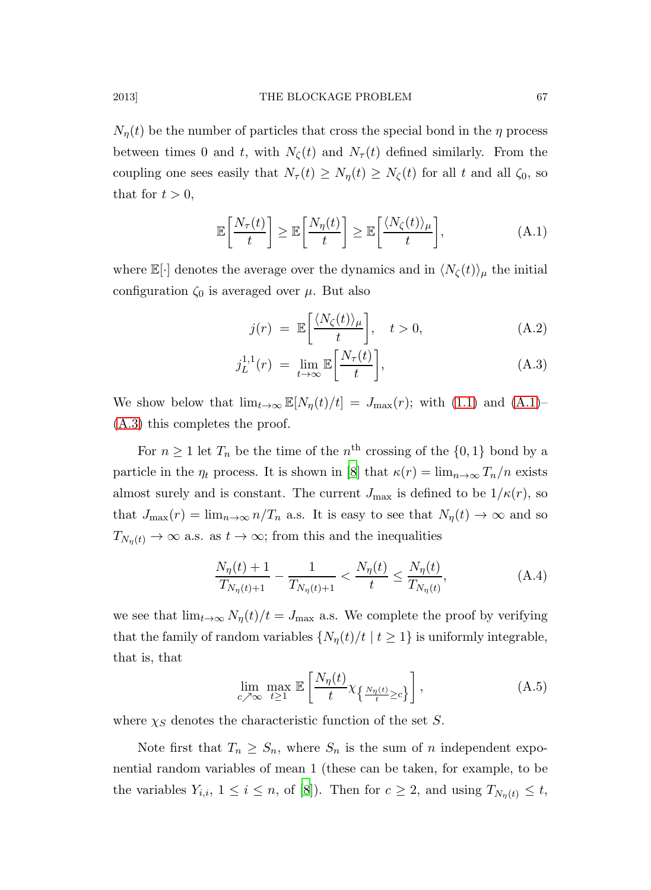$N_n(t)$  be the number of particles that cross the special bond in the  $\eta$  process between times 0 and t, with  $N_{\zeta}(t)$  and  $N_{\tau}(t)$  defined similarly. From the coupling one sees easily that  $N_{\tau}(t) \geq N_{\eta}(t) \geq N_{\zeta}(t)$  for all t and all  $\zeta_0$ , so that for  $t > 0$ ,

$$
\mathbb{E}\left[\frac{N_{\tau}(t)}{t}\right] \geq \mathbb{E}\left[\frac{N_{\eta}(t)}{t}\right] \geq \mathbb{E}\left[\frac{\langle N_{\zeta}(t)\rangle_{\mu}}{t}\right],\tag{A.1}
$$

where  $\mathbb{E}[\cdot]$  denotes the average over the dynamics and in  $\langle N_{\zeta}(t)\rangle_{\mu}$  the initial configuration  $\zeta_0$  is averaged over  $\mu$ . But also

$$
j(r) = \mathbb{E}\left[\frac{\langle N_{\zeta}(t)\rangle_{\mu}}{t}\right], \quad t > 0,
$$
\n(A.2)

$$
j_L^{1,1}(r) = \lim_{t \to \infty} \mathbb{E}\left[\frac{N_\tau(t)}{t}\right],\tag{A.3}
$$

We show below that  $\lim_{t\to\infty} \mathbb{E}[N_{\eta}(t)/t] = J_{\text{max}}(r)$ ; with [\(1.1\)](#page-2-0) and [\(A.1\)](#page-22-10)– [\(A.3\)](#page-22-11) this completes the proof.

For  $n \geq 1$  let  $T_n$  be the time of the  $n^{\text{th}}$  crossing of the  $\{0,1\}$  bond by a particle in the  $\eta_t$  process. It is shown in [\[8](#page-22-7)] that  $\kappa(r) = \lim_{n \to \infty} T_n/n$  exists almost surely and is constant. The current  $J_{\text{max}}$  is defined to be  $1/\kappa(r)$ , so that  $J_{\text{max}}(r) = \lim_{n \to \infty} n/T_n$  a.s. It is easy to see that  $N_{\eta}(t) \to \infty$  and so  $T_{N_n(t)} \to \infty$  a.s. as  $t \to \infty$ ; from this and the inequalities

$$
\frac{N_{\eta}(t) + 1}{T_{N_{\eta}(t) + 1}} - \frac{1}{T_{N_{\eta}(t) + 1}} < \frac{N_{\eta}(t)}{t} \le \frac{N_{\eta}(t)}{T_{N_{\eta}(t)}},\tag{A.4}
$$

we see that  $\lim_{t\to\infty} N_{\eta}(t)/t = J_{\text{max}}$  a.s. We complete the proof by verifying that the family of random variables  $\{N_n(t)/t \mid t \geq 1\}$  is uniformly integrable, that is, that

<span id="page-18-0"></span>
$$
\lim_{c \nearrow \infty} \max_{t \ge 1} \mathbb{E}\left[\frac{N_{\eta}(t)}{t} \chi_{\left\{\frac{N_{\eta}(t)}{t} \ge c\right\}}\right],\tag{A.5}
$$

where  $\chi_S$  denotes the characteristic function of the set S.

Note first that  $T_n \geq S_n$ , where  $S_n$  is the sum of n independent exponential random variables of mean 1 (these can be taken, for example, to be the variables  $Y_{i,i}$ ,  $1 \leq i \leq n$ , of [\[8\]](#page-22-7)). Then for  $c \geq 2$ , and using  $T_{N_n(t)} \leq t$ ,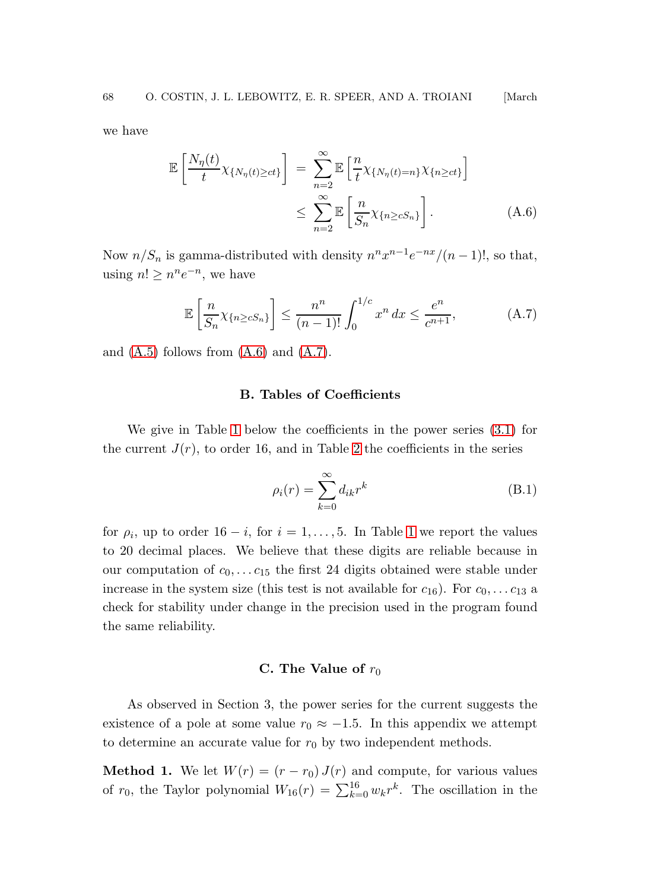we have

<span id="page-19-0"></span>
$$
\mathbb{E}\left[\frac{N_{\eta}(t)}{t}\chi_{\{N_{\eta}(t)\geq ct\}}\right] = \sum_{n=2}^{\infty} \mathbb{E}\left[\frac{n}{t}\chi_{\{N_{\eta}(t)=n\}}\chi_{\{n\geq ct\}}\right]
$$
\n
$$
\leq \sum_{n=2}^{\infty} \mathbb{E}\left[\frac{n}{S_n}\chi_{\{n\geq cS_n\}}\right].
$$
\n(A.6)

Now  $n/S_n$  is gamma-distributed with density  $n^n x^{n-1} e^{-nx} / (n-1)!$ , so that, using  $n! \geq n^n e^{-n}$ , we have

<span id="page-19-1"></span>
$$
\mathbb{E}\left[\frac{n}{S_n}\chi_{\{n\ge cS_n\}}\right] \le \frac{n^n}{(n-1)!} \int_0^{1/c} x^n dx \le \frac{e^n}{c^{n+1}},\tag{A.7}
$$

and  $(A.5)$  follows from  $(A.6)$  and  $(A.7)$ .

# B. Tables of Coefficients

We give in Table [1](#page-20-0) below the coefficients in the power series [\(3.1\)](#page-7-0) for the current  $J(r)$ , to order 16, and in Table [2](#page-20-1) the coefficients in the series

$$
\rho_i(r) = \sum_{k=0}^{\infty} d_{ik} r^k
$$
\n(B.1)

for  $\rho_i$ , up to order  $16 - i$ , for  $i = 1, ..., 5$  $i = 1, ..., 5$  $i = 1, ..., 5$ . In Table 1 we report the values to 20 decimal places. We believe that these digits are reliable because in our computation of  $c_0, \ldots c_{15}$  the first 24 digits obtained were stable under increase in the system size (this test is not available for  $c_{16}$ ). For  $c_0, \ldots c_{13}$  a check for stability under change in the precision used in the program found the same reliability.

# C. The Value of  $r_0$

As observed in Section 3, the power series for the current suggests the existence of a pole at some value  $r_0 \approx -1.5$ . In this appendix we attempt to determine an accurate value for  $r_0$  by two independent methods.

**Method 1.** We let  $W(r) = (r - r_0) J(r)$  and compute, for various values of  $r_0$ , the Taylor polynomial  $W_{16}(r) = \sum_{k=0}^{16} w_k r^k$ . The oscillation in the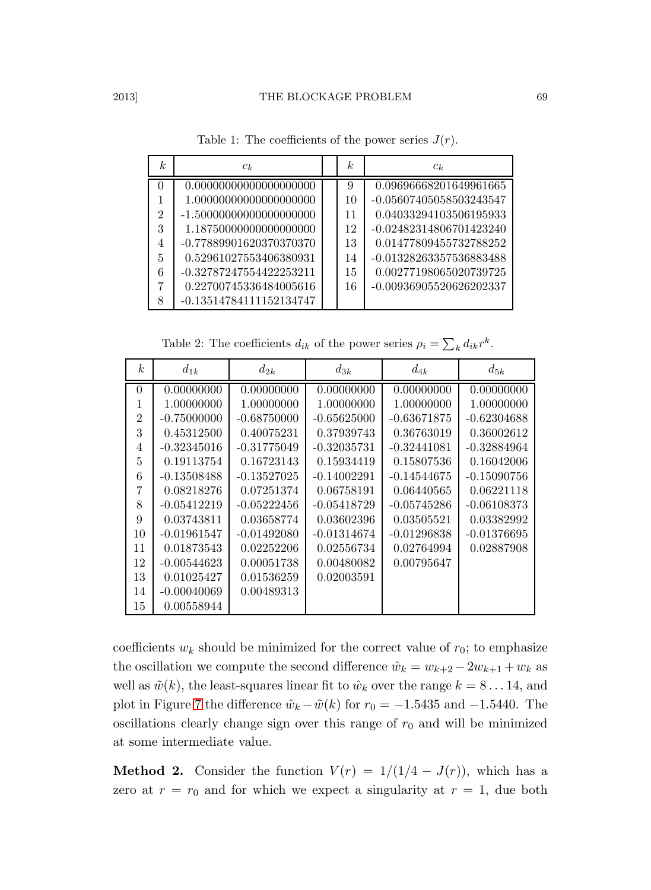| k. | $c_k$                      | k  | $c_k$                     |  |
|----|----------------------------|----|---------------------------|--|
|    | 0.00000000000000000000     | 9  | 0.09696668201649961665    |  |
|    | 1.00000000000000000000     | 10 | -0.05607405058503243547   |  |
| 2  | $-1.500000000000000000000$ | 11 | 0.04033294103506195933    |  |
| 3  | 1.18750000000000000000     | 12 | $-0.02482314806701423240$ |  |
| 4  | -0.77889901620370370370    | 13 | 0.01477809455732788252    |  |
| 5  | 0.52961027553406380931     | 14 | -0.01328263357536883488   |  |
| 6  | -0.32787247554422253211    | 15 | 0.00277198065020739725    |  |
| 7  | 0.22700745336484005616     | 16 | -0.00936905520626202337   |  |
| 8  | $-0.13514784111152134747$  |    |                           |  |

<span id="page-20-0"></span>Table 1: The coefficients of the power series  $J(r)$ .

<span id="page-20-1"></span>Table 2: The coefficients  $d_{ik}$  of the power series  $\rho_i = \sum_k d_{ik} r^k$ .

| k <sub>i</sub> | $d_{1k}$      | $d_{2k}$      | $d_{3k}$      | $d_{4k}$      | $d_{5k}$      |
|----------------|---------------|---------------|---------------|---------------|---------------|
| $\Omega$       | 0.00000000    | 0.00000000    | 0.00000000    | 0.00000000    | 0.00000000    |
| 1              | 1.00000000    | 1.00000000    | 1.00000000    | 1.00000000    | 1.00000000    |
| $\overline{2}$ | $-0.75000000$ | $-0.68750000$ | $-0.65625000$ | $-0.63671875$ | $-0.62304688$ |
| 3              | 0.45312500    | 0.40075231    | 0.37939743    | 0.36763019    | 0.36002612    |
| 4              | $-0.32345016$ | $-0.31775049$ | $-0.32035731$ | $-0.32441081$ | $-0.32884964$ |
| 5              | 0.19113754    | 0.16723143    | 0.15934419    | 0.15807536    | 0.16042006    |
| 6              | $-0.13508488$ | $-0.13527025$ | $-0.14002291$ | $-0.14544675$ | $-0.15090756$ |
| 7              | 0.08218276    | 0.07251374    | 0.06758191    | 0.06440565    | 0.06221118    |
| 8              | $-0.05412219$ | $-0.05222456$ | $-0.05418729$ | $-0.05745286$ | $-0.06108373$ |
| 9              | 0.03743811    | 0.03658774    | 0.03602396    | 0.03505521    | 0.03382992    |
| 10             | $-0.01961547$ | $-0.01492080$ | $-0.01314674$ | $-0.01296838$ | $-0.01376695$ |
| 11             | 0.01873543    | 0.02252206    | 0.02556734    | 0.02764994    | 0.02887908    |
| 12             | $-0.00544623$ | 0.00051738    | 0.00480082    | 0.00795647    |               |
| 13             | 0.01025427    | 0.01536259    | 0.02003591    |               |               |
| 14             | $-0.00040069$ | 0.00489313    |               |               |               |
| 15             | 0.00558944    |               |               |               |               |

coefficients  $w_k$  should be minimized for the correct value of  $r_0$ ; to emphasize the oscillation we compute the second difference  $\hat{w}_k = w_{k+2} - 2w_{k+1} + w_k$  as well as  $\tilde{w}(k)$ , the least-squares linear fit to  $\hat{w}_k$  over the range  $k = 8 \dots 14$ , and plot in Figure [7](#page-21-0) the difference  $\hat{w}_k - \tilde{w}(k)$  for  $r_0 = -1.5435$  and  $-1.5440$ . The oscillations clearly change sign over this range of  $r_0$  and will be minimized at some intermediate value.

**Method 2.** Consider the function  $V(r) = 1/(1/4 - J(r))$ , which has a zero at  $r = r_0$  and for which we expect a singularity at  $r = 1$ , due both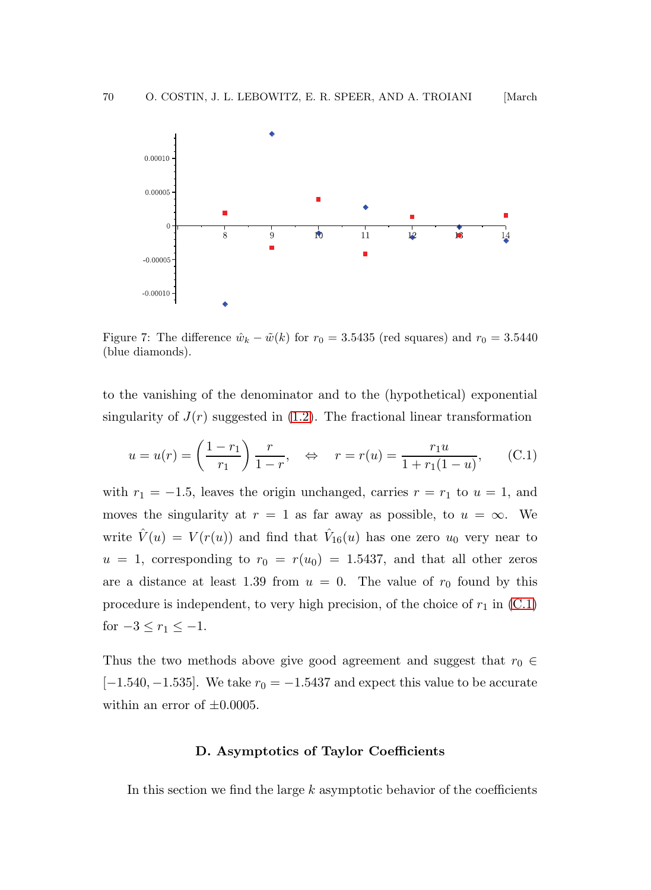

<span id="page-21-0"></span>Figure 7: The difference  $\hat{w}_k - \tilde{w}(k)$  for  $r_0 = 3.5435$  (red squares) and  $r_0 = 3.5440$ (blue diamonds).

to the vanishing of the denominator and to the (hypothetical) exponential singularity of  $J(r)$  suggested in [\(1.2\)](#page-3-0). The fractional linear transformation

$$
u = u(r) = \left(\frac{1 - r_1}{r_1}\right) \frac{r}{1 - r}, \quad \Leftrightarrow \quad r = r(u) = \frac{r_1 u}{1 + r_1 (1 - u)}, \quad (C.1)
$$

with  $r_1 = -1.5$ , leaves the origin unchanged, carries  $r = r_1$  to  $u = 1$ , and moves the singularity at  $r = 1$  as far away as possible, to  $u = \infty$ . We write  $\hat{V}(u) = V(r(u))$  and find that  $\hat{V}_{16}(u)$  has one zero  $u_0$  very near to  $u = 1$ , corresponding to  $r_0 = r(u_0) = 1.5437$ , and that all other zeros are a distance at least 1.39 from  $u = 0$ . The value of  $r_0$  found by this procedure is independent, to very high precision, of the choice of  $r_1$  in  $(C.1)$ for  $-3 \le r_1 \le -1$ .

Thus the two methods above give good agreement and suggest that  $r_0 \in$ [-1.540, -1.535]. We take  $r_0 = -1.5437$  and expect this value to be accurate within an error of  $\pm 0.0005$ .

### D. Asymptotics of Taylor Coefficients

In this section we find the large  $k$  asymptotic behavior of the coefficients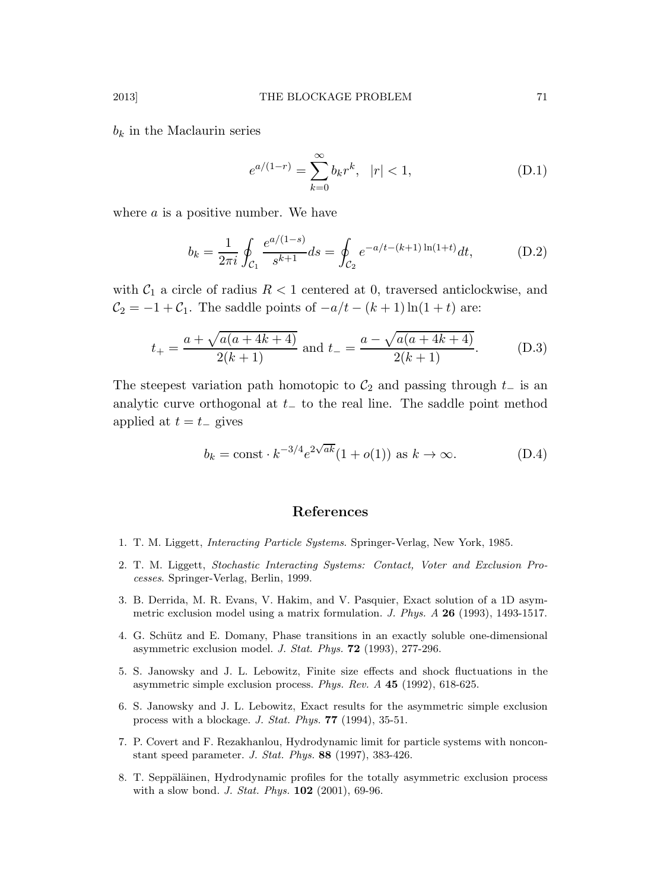$b_k$  in the Maclaurin series

<span id="page-22-11"></span><span id="page-22-10"></span><span id="page-22-8"></span>
$$
e^{a/(1-r)} = \sum_{k=0}^{\infty} b_k r^k, \quad |r| < 1,\tag{D.1}
$$

where  $\alpha$  is a positive number. We have

$$
b_k = \frac{1}{2\pi i} \oint_{\mathcal{C}_1} \frac{e^{a/(1-s)}}{s^{k+1}} ds = \oint_{\mathcal{C}_2} e^{-a/t - (k+1)\ln(1+t)} dt, \tag{D.2}
$$

with  $C_1$  a circle of radius  $R < 1$  centered at 0, traversed anticlockwise, and  $C_2 = -1 + C_1$ . The saddle points of  $-a/t - (k+1)\ln(1+t)$  are:

$$
t_{+} = \frac{a + \sqrt{a(a+4k+4)}}{2(k+1)}
$$
 and  $t_{-} = \frac{a - \sqrt{a(a+4k+4)}}{2(k+1)}$ . (D.3)

The steepest variation path homotopic to  $\mathcal{C}_2$  and passing through  $t_-\$  is an analytic curve orthogonal at  $t_$  to the real line. The saddle point method applied at  $t = t_-\,$  gives

<span id="page-22-9"></span>
$$
b_k = \text{const} \cdot k^{-3/4} e^{2\sqrt{ak}} (1 + o(1)) \text{ as } k \to \infty.
$$
 (D.4)

# References

- <span id="page-22-0"></span>1. T. M. Liggett, *Interacting Particle Systems*. Springer-Verlag, New York, 1985.
- <span id="page-22-1"></span>2. T. M. Liggett, *Stochastic Interacting Systems: Contact, Voter and Exclusion Processes*. Springer-Verlag, Berlin, 1999.
- <span id="page-22-2"></span>3. B. Derrida, M. R. Evans, V. Hakim, and V. Pasquier, Exact solution of a 1D asymmetric exclusion model using a matrix formulation. *J. Phys. A* 26 (1993), 1493-1517.
- <span id="page-22-3"></span>4. G. Schütz and E. Domany, Phase transitions in an exactly soluble one-dimensional asymmetric exclusion model. *J. Stat. Phys.* 72 (1993), 277-296.
- <span id="page-22-4"></span>5. S. Janowsky and J. L. Lebowitz, Finite size effects and shock fluctuations in the asymmetric simple exclusion process. *Phys. Rev. A* 45 (1992), 618-625.
- <span id="page-22-5"></span>6. S. Janowsky and J. L. Lebowitz, Exact results for the asymmetric simple exclusion process with a blockage. *J. Stat. Phys.* 77 (1994), 35-51.
- <span id="page-22-6"></span>7. P. Covert and F. Rezakhanlou, Hydrodynamic limit for particle systems with nonconstant speed parameter. *J. Stat. Phys.* 88 (1997), 383-426.
- <span id="page-22-7"></span>8. T. Seppäläinen, Hydrodynamic profiles for the totally asymmetric exclusion process with a slow bond. *J. Stat. Phys.* 102 (2001), 69-96.